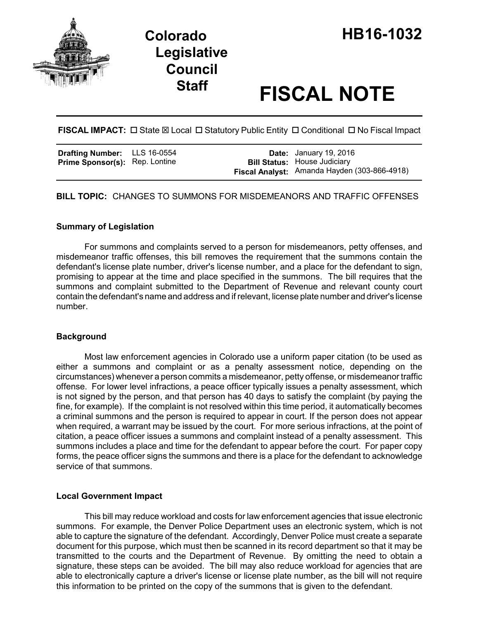

# **Staff FISCAL NOTE**

**FISCAL IMPACT:**  $\Box$  State  $\boxtimes$  Local  $\Box$  Statutory Public Entity  $\Box$  Conditional  $\Box$  No Fiscal Impact

| <b>Drafting Number:</b> LLS 16-0554   |  | <b>Date:</b> January 19, 2016                                                       |
|---------------------------------------|--|-------------------------------------------------------------------------------------|
| <b>Prime Sponsor(s):</b> Rep. Lontine |  | <b>Bill Status: House Judiciary</b><br>Fiscal Analyst: Amanda Hayden (303-866-4918) |

**BILL TOPIC:** CHANGES TO SUMMONS FOR MISDEMEANORS AND TRAFFIC OFFENSES

## **Summary of Legislation**

For summons and complaints served to a person for misdemeanors, petty offenses, and misdemeanor traffic offenses, this bill removes the requirement that the summons contain the defendant's license plate number, driver's license number, and a place for the defendant to sign, promising to appear at the time and place specified in the summons. The bill requires that the summons and complaint submitted to the Department of Revenue and relevant county court contain the defendant's name and address and if relevant, license plate number and driver's license number.

## **Background**

Most law enforcement agencies in Colorado use a uniform paper citation (to be used as either a summons and complaint or as a penalty assessment notice, depending on the circumstances) whenever a person commits a misdemeanor, petty offense, or misdemeanor traffic offense. For lower level infractions, a peace officer typically issues a penalty assessment, which is not signed by the person, and that person has 40 days to satisfy the complaint (by paying the fine, for example). If the complaint is not resolved within this time period, it automatically becomes a criminal summons and the person is required to appear in court. If the person does not appear when required, a warrant may be issued by the court. For more serious infractions, at the point of citation, a peace officer issues a summons and complaint instead of a penalty assessment. This summons includes a place and time for the defendant to appear before the court. For paper copy forms, the peace officer signs the summons and there is a place for the defendant to acknowledge service of that summons.

## **Local Government Impact**

This bill may reduce workload and costs for law enforcement agencies that issue electronic summons. For example, the Denver Police Department uses an electronic system, which is not able to capture the signature of the defendant. Accordingly, Denver Police must create a separate document for this purpose, which must then be scanned in its record department so that it may be transmitted to the courts and the Department of Revenue. By omitting the need to obtain a signature, these steps can be avoided. The bill may also reduce workload for agencies that are able to electronically capture a driver's license or license plate number, as the bill will not require this information to be printed on the copy of the summons that is given to the defendant.